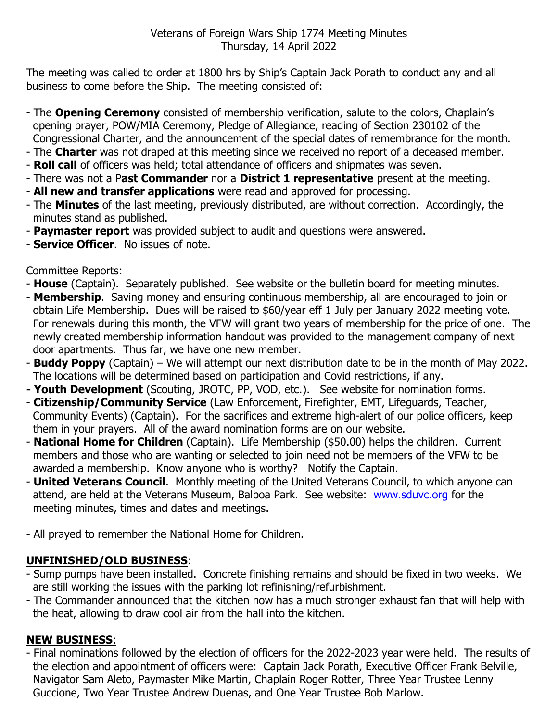The meeting was called to order at 1800 hrs by Ship's Captain Jack Porath to conduct any and all business to come before the Ship. The meeting consisted of:

- The **Opening Ceremony** consisted of membership verification, salute to the colors, Chaplain's opening prayer, POW/MIA Ceremony, Pledge of Allegiance, reading of Section 230102 of the Congressional Charter, and the announcement of the special dates of remembrance for the month.
- The **Charter** was not draped at this meeting since we received no report of a deceased member.
- **Roll call** of officers was held; total attendance of officers and shipmates was seven.
- There was not a P**ast Commander** nor a **District 1 representative** present at the meeting.
- **All new and transfer applications** were read and approved for processing.
- The **Minutes** of the last meeting, previously distributed, are without correction. Accordingly, the minutes stand as published.
- **Paymaster report** was provided subject to audit and questions were answered.
- **Service Officer**. No issues of note.

Committee Reports:

- **House** (Captain). Separately published. See website or the bulletin board for meeting minutes.
- **Membership**. Saving money and ensuring continuous membership, all are encouraged to join or obtain Life Membership. Dues will be raised to \$60/year eff 1 July per January 2022 meeting vote. For renewals during this month, the VFW will grant two years of membership for the price of one. The newly created membership information handout was provided to the management company of next door apartments. Thus far, we have one new member.
- **Buddy Poppy** (Captain) We will attempt our next distribution date to be in the month of May 2022. The locations will be determined based on participation and Covid restrictions, if any.
- **- Youth Development** (Scouting, JROTC, PP, VOD, etc.). See website for nomination forms.
- **Citizenship/Community Service** (Law Enforcement, Firefighter, EMT, Lifeguards, Teacher, Community Events) (Captain). For the sacrifices and extreme high-alert of our police officers, keep them in your prayers. All of the award nomination forms are on our website.
- **National Home for Children** (Captain). Life Membership (\$50.00) helps the children. Current members and those who are wanting or selected to join need not be members of the VFW to be awarded a membership. Know anyone who is worthy? Notify the Captain.
- **United Veterans Council**. Monthly meeting of the United Veterans Council, to which anyone can attend, are held at the Veterans Museum, Balboa Park. See website: [www.sduvc.org](http://www.sduvc.org/) for the meeting minutes, times and dates and meetings.
- All prayed to remember the National Home for Children.

## **UNFINISHED/OLD BUSINESS**:

- Sump pumps have been installed. Concrete finishing remains and should be fixed in two weeks. We are still working the issues with the parking lot refinishing/refurbishment.
- The Commander announced that the kitchen now has a much stronger exhaust fan that will help with the heat, allowing to draw cool air from the hall into the kitchen.

## **NEW BUSINESS**:

- Final nominations followed by the election of officers for the 2022-2023 year were held. The results of the election and appointment of officers were: Captain Jack Porath, Executive Officer Frank Belville, Navigator Sam Aleto, Paymaster Mike Martin, Chaplain Roger Rotter, Three Year Trustee Lenny Guccione, Two Year Trustee Andrew Duenas, and One Year Trustee Bob Marlow.